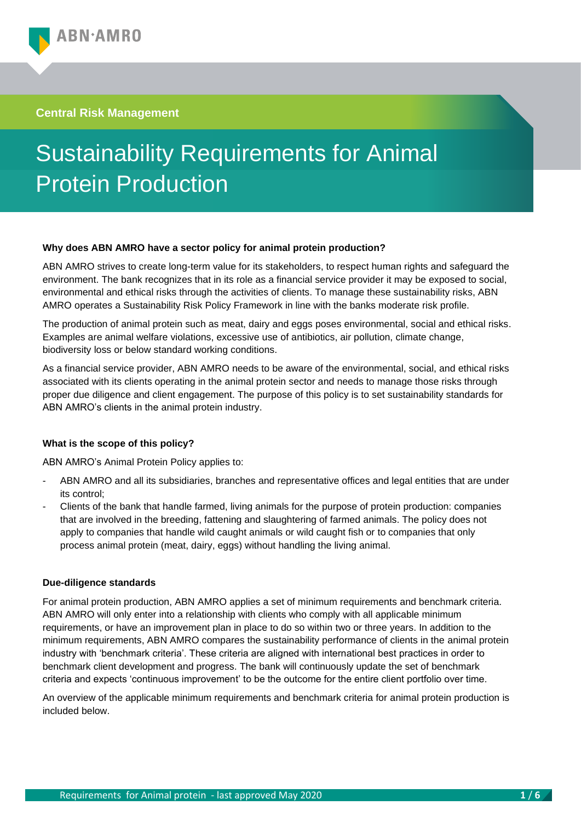**Central Risk Management**

# Sustainability Requirements for Animal Protein Production

#### **Why does ABN AMRO have a sector policy for animal protein production?**

ABN AMRO strives to create long-term value for its stakeholders, to respect human rights and safeguard the environment. The bank recognizes that in its role as a financial service provider it may be exposed to social, environmental and ethical risks through the activities of clients. To manage these sustainability risks, ABN AMRO operates a Sustainability Risk Policy Framework in line with the banks moderate risk profile.

The production of animal protein such as meat, dairy and eggs poses environmental, social and ethical risks. Examples are animal welfare violations, excessive use of antibiotics, air pollution, climate change, biodiversity loss or below standard working conditions.

As a financial service provider, ABN AMRO needs to be aware of the environmental, social, and ethical risks associated with its clients operating in the animal protein sector and needs to manage those risks through proper due diligence and client engagement. The purpose of this policy is to set sustainability standards for ABN AMRO's clients in the animal protein industry.

### **What is the scope of this policy?**

ABN AMRO's Animal Protein Policy applies to:

- ABN AMRO and all its subsidiaries, branches and representative offices and legal entities that are under its control;
- Clients of the bank that handle farmed, living animals for the purpose of protein production: companies that are involved in the breeding, fattening and slaughtering of farmed animals. The policy does not apply to companies that handle wild caught animals or wild caught fish or to companies that only process animal protein (meat, dairy, eggs) without handling the living animal.

#### **Due-diligence standards**

For animal protein production, ABN AMRO applies a set of minimum requirements and benchmark criteria. ABN AMRO will only enter into a relationship with clients who comply with all applicable minimum requirements, or have an improvement plan in place to do so within two or three years. In addition to the minimum requirements, ABN AMRO compares the sustainability performance of clients in the animal protein industry with 'benchmark criteria'. These criteria are aligned with international best practices in order to benchmark client development and progress. The bank will continuously update the set of benchmark criteria and expects 'continuous improvement' to be the outcome for the entire client portfolio over time.

An overview of the applicable minimum requirements and benchmark criteria for animal protein production is included below.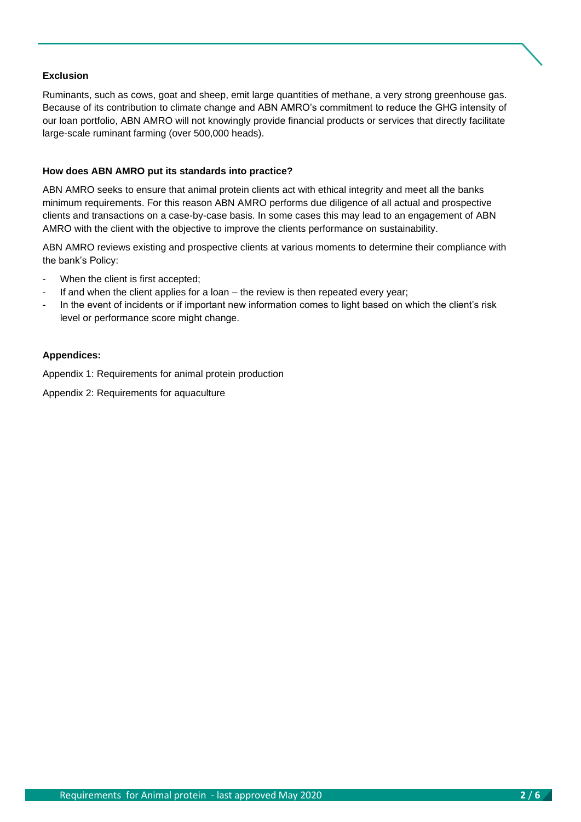#### **Exclusion**

Ruminants, such as cows, goat and sheep, emit large quantities of methane, a very strong greenhouse gas. Because of its contribution to climate change and ABN AMRO's commitment to reduce the GHG intensity of our loan portfolio, ABN AMRO will not knowingly provide financial products or services that directly facilitate large-scale ruminant farming (over 500,000 heads).

#### **How does ABN AMRO put its standards into practice?**

ABN AMRO seeks to ensure that animal protein clients act with ethical integrity and meet all the banks minimum requirements. For this reason ABN AMRO performs due diligence of all actual and prospective clients and transactions on a case-by-case basis. In some cases this may lead to an engagement of ABN AMRO with the client with the objective to improve the clients performance on sustainability.

ABN AMRO reviews existing and prospective clients at various moments to determine their compliance with the bank's Policy:

- When the client is first accepted;
- If and when the client applies for a loan the review is then repeated every year;
- In the event of incidents or if important new information comes to light based on which the client's risk level or performance score might change.

#### **Appendices:**

Appendix 1: Requirements for animal protein production

Appendix 2: Requirements for aquaculture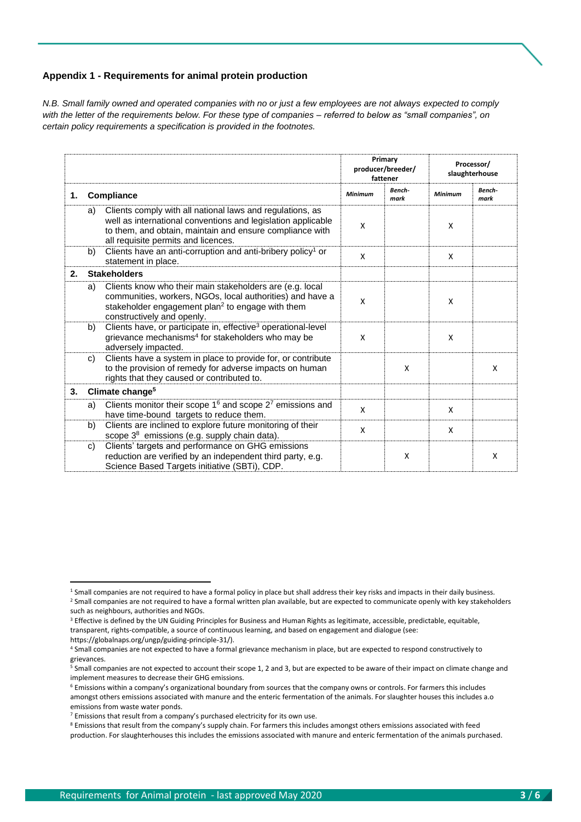#### **Appendix 1 - Requirements for animal protein production**

*N.B. Small family owned and operated companies with no or just a few employees are not always expected to comply with the letter of the requirements below. For these type of companies – referred to below as "small companies", on certain policy requirements a specification is provided in the footnotes.*

|    |    |                                                                                                                                                                                                                              | Primary<br>producer/breeder/<br>fattener |                | Processor/<br>slaughterhouse |                |
|----|----|------------------------------------------------------------------------------------------------------------------------------------------------------------------------------------------------------------------------------|------------------------------------------|----------------|------------------------------|----------------|
| 1. |    | Compliance                                                                                                                                                                                                                   | Minimum                                  | Bench-<br>mark | Minimum                      | Bench-<br>mark |
|    | a) | Clients comply with all national laws and regulations, as<br>well as international conventions and legislation applicable<br>to them, and obtain, maintain and ensure compliance with<br>all requisite permits and licences. | X                                        |                | X                            |                |
|    | b) | Clients have an anti-corruption and anti-bribery policy <sup>1</sup> or<br>statement in place.                                                                                                                               | X                                        |                | X                            |                |
| 2. |    | <b>Stakeholders</b>                                                                                                                                                                                                          |                                          |                |                              |                |
|    | a) | Clients know who their main stakeholders are (e.g. local<br>communities, workers, NGOs, local authorities) and have a<br>stakeholder engagement plan <sup>2</sup> to engage with them<br>constructively and openly.          | $\mathsf{x}$                             |                | X                            |                |
|    | b) | Clients have, or participate in, effective <sup>3</sup> operational-level<br>grievance mechanisms <sup>4</sup> for stakeholders who may be<br>adversely impacted.                                                            | X                                        |                | X                            |                |
|    | C) | Clients have a system in place to provide for, or contribute<br>to the provision of remedy for adverse impacts on human<br>rights that they caused or contributed to.                                                        |                                          | X              |                              | X              |
| 3. |    | Climate change <sup>5</sup>                                                                                                                                                                                                  |                                          |                |                              |                |
|    | a) | Clients monitor their scope $16$ and scope $27$ emissions and<br>have time-bound targets to reduce them.                                                                                                                     | $\mathsf{x}$                             |                | X                            |                |
|    | b) | Clients are inclined to explore future monitoring of their<br>scope 3 <sup>8</sup> emissions (e.g. supply chain data).                                                                                                       | X                                        |                | X                            |                |
|    | C) | Clients' targets and performance on GHG emissions<br>reduction are verified by an independent third party, e.g.<br>Science Based Targets initiative (SBTi), CDP.                                                             |                                          | X              |                              | X              |

<sup>&</sup>lt;sup>1</sup> Small companies are not required to have a formal policy in place but shall address their key risks and impacts in their daily business.

<sup>&</sup>lt;sup>2</sup> Small companies are not required to have a formal written plan available, but are expected to communicate openly with key stakeholders such as neighbours, authorities and NGOs.

<sup>&</sup>lt;sup>3</sup> Effective is defined by the UN Guiding Principles for Business and Human Rights as legitimate, accessible, predictable, equitable, transparent, rights-compatible, a source of continuous learning, and based on engagement and dialogue (see: https://globalnaps.org/ungp/guiding-principle-31/).

<sup>4</sup> Small companies are not expected to have a formal grievance mechanism in place, but are expected to respond constructively to grievances.

<sup>5</sup> Small companies are not expected to account their scope 1, 2 and 3, but are expected to be aware of their impact on climate change and implement measures to decrease their GHG emissions.

<sup>6</sup> Emissions within a company's organizational boundary from sources that the company owns or controls. For farmers this includes amongst others emissions associated with manure and the enteric fermentation of the animals. For slaughter houses this includes a.o emissions from waste water ponds.

<sup>&</sup>lt;sup>7</sup> Emissions that result from a company's purchased electricity for its own use.

<sup>8</sup> Emissions that result from the company's supply chain. For farmers this includes amongst others emissions associated with feed production. For slaughterhouses this includes the emissions associated with manure and enteric fermentation of the animals purchased.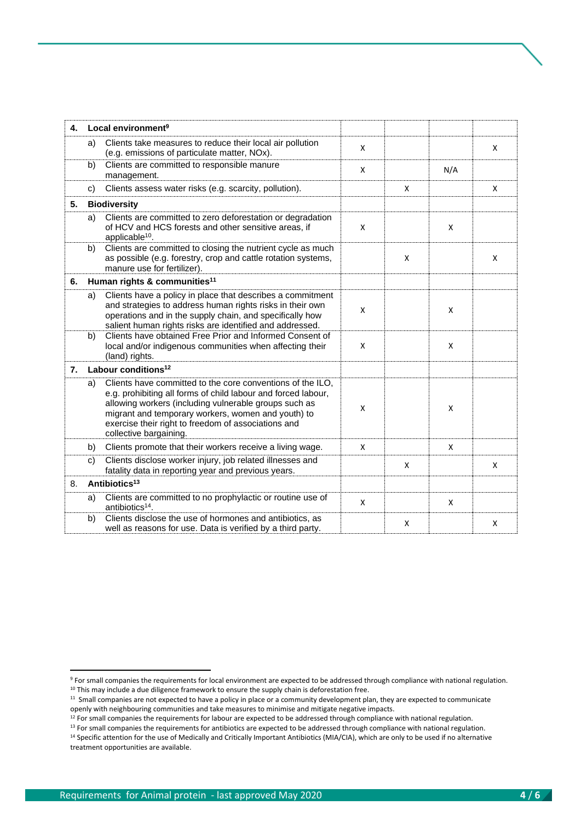| 4. |                                          | Local environment <sup>9</sup>                                                                                                                                                                                                                                                                                              |              |   |     |   |
|----|------------------------------------------|-----------------------------------------------------------------------------------------------------------------------------------------------------------------------------------------------------------------------------------------------------------------------------------------------------------------------------|--------------|---|-----|---|
|    | a)                                       | Clients take measures to reduce their local air pollution<br>(e.g. emissions of particulate matter, NOx).                                                                                                                                                                                                                   | X            |   |     | X |
|    | b)                                       | Clients are committed to responsible manure<br>management.                                                                                                                                                                                                                                                                  | X            |   | N/A |   |
|    | C)                                       | Clients assess water risks (e.g. scarcity, pollution).                                                                                                                                                                                                                                                                      |              | X |     | X |
| 5. | <b>Biodiversity</b>                      |                                                                                                                                                                                                                                                                                                                             |              |   |     |   |
|    | a)                                       | Clients are committed to zero deforestation or degradation<br>of HCV and HCS forests and other sensitive areas, if<br>applicable <sup>10</sup> .                                                                                                                                                                            | $\mathsf{X}$ |   | X   |   |
|    | b)                                       | Clients are committed to closing the nutrient cycle as much<br>as possible (e.g. forestry, crop and cattle rotation systems,<br>manure use for fertilizer).                                                                                                                                                                 |              | X |     | X |
| 6. | Human rights & communities <sup>11</sup> |                                                                                                                                                                                                                                                                                                                             |              |   |     |   |
|    | a)                                       | Clients have a policy in place that describes a commitment<br>and strategies to address human rights risks in their own<br>operations and in the supply chain, and specifically how<br>salient human rights risks are identified and addressed.                                                                             | $\mathsf{x}$ |   | X   |   |
|    | b)                                       | Clients have obtained Free Prior and Informed Consent of<br>local and/or indigenous communities when affecting their<br>(land) rights.                                                                                                                                                                                      | X            |   | X   |   |
| 7. | Labour conditions <sup>12</sup>          |                                                                                                                                                                                                                                                                                                                             |              |   |     |   |
|    | a)                                       | Clients have committed to the core conventions of the ILO,<br>e.g. prohibiting all forms of child labour and forced labour,<br>allowing workers (including vulnerable groups such as<br>migrant and temporary workers, women and youth) to<br>exercise their right to freedom of associations and<br>collective bargaining. | X            |   | X   |   |
|    | b)                                       | Clients promote that their workers receive a living wage.                                                                                                                                                                                                                                                                   | X            |   | X   |   |
|    | C)                                       | Clients disclose worker injury, job related illnesses and<br>fatality data in reporting year and previous years.                                                                                                                                                                                                            |              | X |     | X |
| 8. |                                          | Antibiotics <sup>13</sup>                                                                                                                                                                                                                                                                                                   |              |   |     |   |
|    | a)                                       | Clients are committed to no prophylactic or routine use of<br>antibiotics <sup>14</sup> .                                                                                                                                                                                                                                   | X            |   | X   |   |
|    | b)                                       | Clients disclose the use of hormones and antibiotics, as<br>well as reasons for use. Data is verified by a third party.                                                                                                                                                                                                     |              | X |     | X |

<sup>9</sup> For small companies the requirements for local environment are expected to be addressed through compliance with national regulation.

 $10$  This may include a due diligence framework to ensure the supply chain is deforestation free.

<sup>&</sup>lt;sup>11</sup> Small companies are not expected to have a policy in place or a community development plan, they are expected to communicate openly with neighbouring communities and take measures to minimise and mitigate negative impacts.

<sup>&</sup>lt;sup>12</sup> For small companies the requirements for labour are expected to be addressed through compliance with national regulation.

<sup>&</sup>lt;sup>13</sup> For small companies the requirements for antibiotics are expected to be addressed through compliance with national regulation.

<sup>&</sup>lt;sup>14</sup> Specific attention for the use of Medically and Critically Important Antibiotics (MIA/CIA), which are only to be used if no alternative treatment opportunities are available.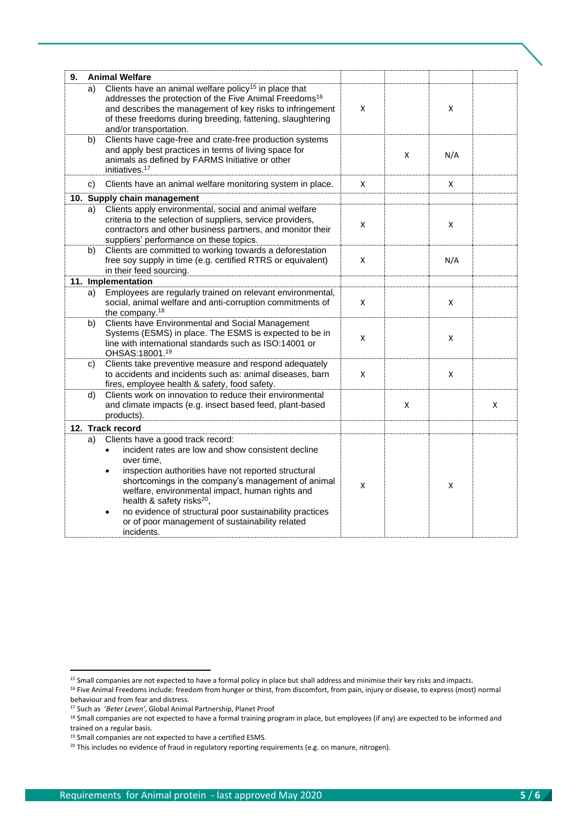| 9. |                    | <b>Animal Welfare</b>                                                                                                                                                                                                                                                                                                       |   |   |     |   |
|----|--------------------|-----------------------------------------------------------------------------------------------------------------------------------------------------------------------------------------------------------------------------------------------------------------------------------------------------------------------------|---|---|-----|---|
|    | a)                 | Clients have an animal welfare policy <sup>15</sup> in place that<br>addresses the protection of the Five Animal Freedoms <sup>16</sup><br>and describes the management of key risks to infringement<br>of these freedoms during breeding, fattening, slaughtering<br>and/or transportation.                                | X |   | X   |   |
|    | b)                 | Clients have cage-free and crate-free production systems<br>and apply best practices in terms of living space for<br>animals as defined by FARMS Initiative or other<br>initiatives. <sup>17</sup>                                                                                                                          |   | X | N/A |   |
|    | c)                 | Clients have an animal welfare monitoring system in place.                                                                                                                                                                                                                                                                  | X |   | X   |   |
|    |                    | 10. Supply chain management                                                                                                                                                                                                                                                                                                 |   |   |     |   |
|    | a)                 | Clients apply environmental, social and animal welfare<br>criteria to the selection of suppliers, service providers,<br>contractors and other business partners, and monitor their<br>suppliers' performance on these topics.                                                                                               | X |   | X   |   |
|    | b)                 | Clients are committed to working towards a deforestation<br>free soy supply in time (e.g. certified RTRS or equivalent)<br>in their feed sourcing.                                                                                                                                                                          | X |   | N/A |   |
|    | 11. Implementation |                                                                                                                                                                                                                                                                                                                             |   |   |     |   |
|    | a)                 | Employees are regularly trained on relevant environmental,<br>social, animal welfare and anti-corruption commitments of<br>the company. <sup>18</sup>                                                                                                                                                                       | X |   | X   |   |
|    | b)                 | <b>Clients have Environmental and Social Management</b><br>Systems (ESMS) in place. The ESMS is expected to be in<br>line with international standards such as ISO:14001 or<br>OHSAS: 18001.19                                                                                                                              | X |   | X   |   |
|    | C)                 | Clients take preventive measure and respond adequately<br>to accidents and incidents such as: animal diseases, barn<br>fires, employee health & safety, food safety.                                                                                                                                                        | X |   | X   |   |
|    | d)                 | Clients work on innovation to reduce their environmental<br>and climate impacts (e.g. insect based feed, plant-based<br>products).                                                                                                                                                                                          |   | X |     | X |
|    |                    | 12. Track record                                                                                                                                                                                                                                                                                                            |   |   |     |   |
|    | a)                 | Clients have a good track record:<br>incident rates are low and show consistent decline<br>over time.<br>inspection authorities have not reported structural<br>$\bullet$<br>shortcomings in the company's management of animal<br>welfare, environmental impact, human rights and<br>health & safety risks <sup>20</sup> , | X |   | X   |   |
|    |                    | no evidence of structural poor sustainability practices<br>$\bullet$<br>or of poor management of sustainability related<br>incidents.                                                                                                                                                                                       |   |   |     |   |

<sup>&</sup>lt;sup>15</sup> Small companies are not expected to have a formal policy in place but shall address and minimise their key risks and impacts.

<sup>&</sup>lt;sup>16</sup> Five Animal Freedoms include: freedom from hunger or thirst, from discomfort, from pain, injury or disease, to express (most) normal behaviour and from fear and distress.

<sup>17</sup> Such as '*Beter Leven'*, Global Animal Partnership, Planet Proof

<sup>18</sup> Small companies are not expected to have a formal training program in place, but employees (if any) are expected to be informed and trained on a regular basis.

<sup>&</sup>lt;sup>19</sup> Small companies are not expected to have a certified ESMS.

<sup>&</sup>lt;sup>20</sup> This includes no evidence of fraud in regulatory reporting requirements (e.g. on manure, nitrogen).